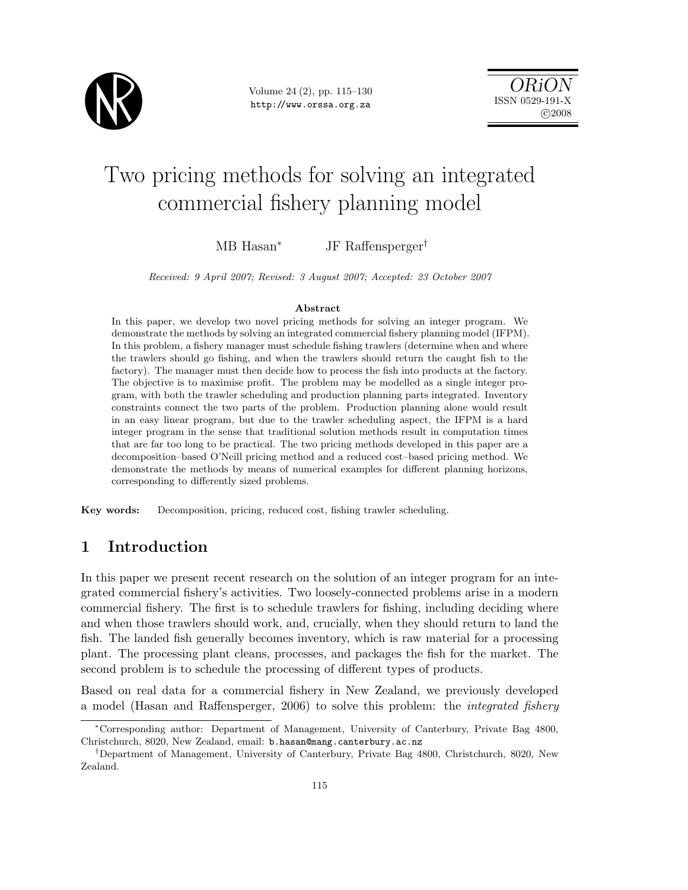

Volume 24 (2), pp. 115–130 http://www.orssa.org.za

# Two pricing methods for solving an integrated commercial fishery planning model

MB Hasan<sup>∗</sup> JF Raffensperger†

Received: 9 April 2007; Revised: 3 August 2007; Accepted: 23 October 2007

#### Abstract

In this paper, we develop two novel pricing methods for solving an integer program. We demonstrate the methods by solving an integrated commercial fishery planning model (IFPM). In this problem, a fishery manager must schedule fishing trawlers (determine when and where the trawlers should go fishing, and when the trawlers should return the caught fish to the factory). The manager must then decide how to process the fish into products at the factory. The objective is to maximise profit. The problem may be modelled as a single integer program, with both the trawler scheduling and production planning parts integrated. Inventory constraints connect the two parts of the problem. Production planning alone would result in an easy linear program, but due to the trawler scheduling aspect, the IFPM is a hard integer program in the sense that traditional solution methods result in computation times that are far too long to be practical. The two pricing methods developed in this paper are a decomposition–based O'Neill pricing method and a reduced cost–based pricing method. We demonstrate the methods by means of numerical examples for different planning horizons, corresponding to differently sized problems.

Key words: Decomposition, pricing, reduced cost, fishing trawler scheduling.

## 1 Introduction

In this paper we present recent research on the solution of an integer program for an integrated commercial fishery's activities. Two loosely-connected problems arise in a modern commercial fishery. The first is to schedule trawlers for fishing, including deciding where and when those trawlers should work, and, crucially, when they should return to land the fish. The landed fish generally becomes inventory, which is raw material for a processing plant. The processing plant cleans, processes, and packages the fish for the market. The second problem is to schedule the processing of different types of products.

Based on real data for a commercial fishery in New Zealand, we previously developed a model (Hasan and Raffensperger, 2006) to solve this problem: the integrated fishery

<sup>∗</sup>Corresponding author: Department of Management, University of Canterbury, Private Bag 4800, Christchurch, 8020, New Zealand, email: b.hasan@mang.canterbury.ac.nz

<sup>†</sup>Department of Management, University of Canterbury, Private Bag 4800, Christchurch, 8020, New Zealand.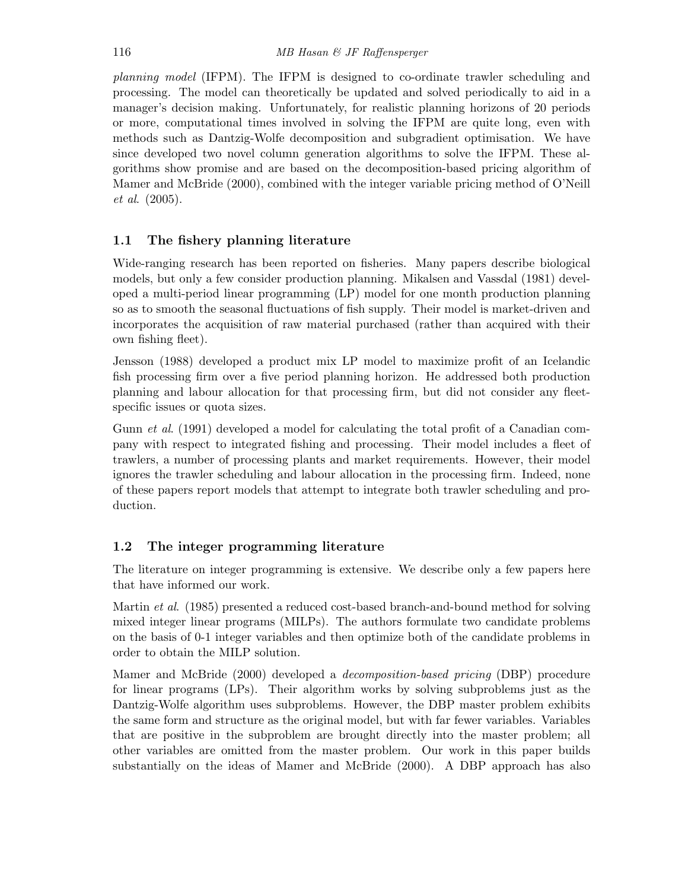planning model (IFPM). The IFPM is designed to co-ordinate trawler scheduling and processing. The model can theoretically be updated and solved periodically to aid in a manager's decision making. Unfortunately, for realistic planning horizons of 20 periods or more, computational times involved in solving the IFPM are quite long, even with methods such as Dantzig-Wolfe decomposition and subgradient optimisation. We have since developed two novel column generation algorithms to solve the IFPM. These algorithms show promise and are based on the decomposition-based pricing algorithm of Mamer and McBride (2000), combined with the integer variable pricing method of O'Neill et al. (2005).

### 1.1 The fishery planning literature

Wide-ranging research has been reported on fisheries. Many papers describe biological models, but only a few consider production planning. Mikalsen and Vassdal (1981) developed a multi-period linear programming (LP) model for one month production planning so as to smooth the seasonal fluctuations of fish supply. Their model is market-driven and incorporates the acquisition of raw material purchased (rather than acquired with their own fishing fleet).

Jensson (1988) developed a product mix LP model to maximize profit of an Icelandic fish processing firm over a five period planning horizon. He addressed both production planning and labour allocation for that processing firm, but did not consider any fleetspecific issues or quota sizes.

Gunn et al. (1991) developed a model for calculating the total profit of a Canadian company with respect to integrated fishing and processing. Their model includes a fleet of trawlers, a number of processing plants and market requirements. However, their model ignores the trawler scheduling and labour allocation in the processing firm. Indeed, none of these papers report models that attempt to integrate both trawler scheduling and production.

#### 1.2 The integer programming literature

The literature on integer programming is extensive. We describe only a few papers here that have informed our work.

Martin et al. (1985) presented a reduced cost-based branch-and-bound method for solving mixed integer linear programs (MILPs). The authors formulate two candidate problems on the basis of 0-1 integer variables and then optimize both of the candidate problems in order to obtain the MILP solution.

Mamer and McBride (2000) developed a decomposition-based pricing (DBP) procedure for linear programs (LPs). Their algorithm works by solving subproblems just as the Dantzig-Wolfe algorithm uses subproblems. However, the DBP master problem exhibits the same form and structure as the original model, but with far fewer variables. Variables that are positive in the subproblem are brought directly into the master problem; all other variables are omitted from the master problem. Our work in this paper builds substantially on the ideas of Mamer and McBride (2000). A DBP approach has also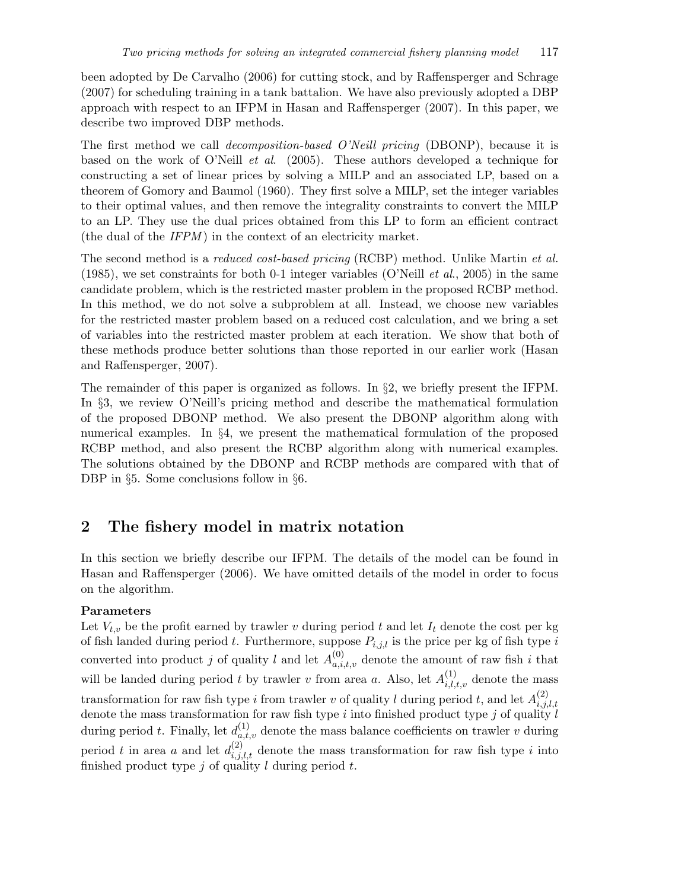been adopted by De Carvalho (2006) for cutting stock, and by Raffensperger and Schrage (2007) for scheduling training in a tank battalion. We have also previously adopted a DBP approach with respect to an IFPM in Hasan and Raffensperger (2007). In this paper, we describe two improved DBP methods.

The first method we call decomposition-based O'Neill pricing (DBONP), because it is based on the work of O'Neill et al. (2005). These authors developed a technique for constructing a set of linear prices by solving a MILP and an associated LP, based on a theorem of Gomory and Baumol (1960). They first solve a MILP, set the integer variables to their optimal values, and then remove the integrality constraints to convert the MILP to an LP. They use the dual prices obtained from this LP to form an efficient contract (the dual of the  $IFPM$ ) in the context of an electricity market.

The second method is a reduced cost-based pricing (RCBP) method. Unlike Martin et al. (1985), we set constraints for both 0-1 integer variables (O'Neill *et al.*, 2005) in the same candidate problem, which is the restricted master problem in the proposed RCBP method. In this method, we do not solve a subproblem at all. Instead, we choose new variables for the restricted master problem based on a reduced cost calculation, and we bring a set of variables into the restricted master problem at each iteration. We show that both of these methods produce better solutions than those reported in our earlier work (Hasan and Raffensperger, 2007).

The remainder of this paper is organized as follows. In §2, we briefly present the IFPM. In §3, we review O'Neill's pricing method and describe the mathematical formulation of the proposed DBONP method. We also present the DBONP algorithm along with numerical examples. In §4, we present the mathematical formulation of the proposed RCBP method, and also present the RCBP algorithm along with numerical examples. The solutions obtained by the DBONP and RCBP methods are compared with that of DBP in §5. Some conclusions follow in §6.

## 2 The fishery model in matrix notation

In this section we briefly describe our IFPM. The details of the model can be found in Hasan and Raffensperger (2006). We have omitted details of the model in order to focus on the algorithm.

#### Parameters

Let  $V_{t,v}$  be the profit earned by trawler v during period t and let  $I_t$  denote the cost per kg of fish landed during period t. Furthermore, suppose  $P_{i,j,l}$  is the price per kg of fish type i converted into product j of quality l and let  $A_{a,i,t,v}^{(0)}$  denote the amount of raw fish i that will be landed during period t by trawler v from area a. Also, let  $A_{i,l,t,v}^{(1)}$  denote the mass transformation for raw fish type i from trawler v of quality l during period t, and let  $A_{i,i}^{(2)}$  $_{i,j,l,t}$ denote the mass transformation for raw fish type i into finished product type j of quality  $l$ during period t. Finally, let  $d_{a,t,v}^{(1)}$  denote the mass balance coefficients on trawler v during period t in area a and let  $d_{i,j,l,t}^{(2)}$  denote the mass transformation for raw fish type i into finished product type  $j$  of quality  $l$  during period  $t$ .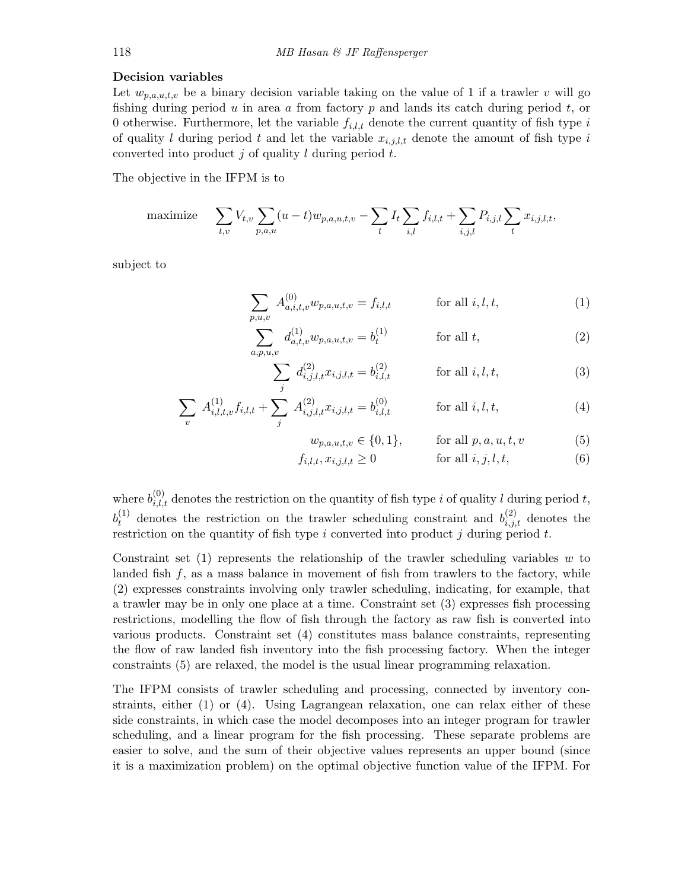#### Decision variables

Let  $w_{p,a,u,t,v}$  be a binary decision variable taking on the value of 1 if a trawler v will go fishing during period  $u$  in area  $a$  from factory  $p$  and lands its catch during period  $t$ , or 0 otherwise. Furthermore, let the variable  $f_{i,l,t}$  denote the current quantity of fish type i of quality l during period t and let the variable  $x_{i,j,l,t}$  denote the amount of fish type i converted into product  $j$  of quality  $l$  during period  $t$ .

The objective in the IFPM is to

maximize 
$$
\sum_{t,v} V_{t,v} \sum_{p,a,u} (u-t) w_{p,a,u,t,v} - \sum_t I_t \sum_{i,l} f_{i,l,t} + \sum_{i,j,l} P_{i,j,l} \sum_t x_{i,j,l,t},
$$

subject to

$$
\sum_{p,u,v} A^{(0)}_{a,i,t,v} w_{p,a,u,t,v} = f_{i,l,t} \qquad \text{for all } i,l,t,
$$
 (1)

$$
\sum_{a,p,u,v} d_{a,t,v}^{(1)} w_{p,a,u,t,v} = b_t^{(1)} \qquad \text{for all } t,
$$
\n(2)

$$
\sum_{j} d_{i,j,l,t}^{(2)} x_{i,j,l,t} = b_{i,l,t}^{(2)} \qquad \text{for all } i, l, t,
$$
\n(3)

$$
\sum_{v} A_{i,l,t,v}^{(1)} f_{i,l,t} + \sum_{j} A_{i,j,l,t}^{(2)} x_{i,j,l,t} = b_{i,l,t}^{(0)} \qquad \text{for all } i, l, t,
$$
\n(4)

$$
w_{p,a,u,t,v} \in \{0,1\}, \quad \text{for all } p,a,u,t,v \tag{5}
$$

$$
f_{i,l,t}, x_{i,j,l,t} \ge 0 \qquad \text{for all } i, j, l, t,
$$
 (6)

where  $b_{i,l,t}^{(0)}$  denotes the restriction on the quantity of fish type i of quality l during period t,  $b_t^{(1)}$  denotes the restriction on the trawler scheduling constraint and  $b_{i,j,t}^{(2)}$  denotes the restriction on the quantity of fish type  $i$  converted into product  $j$  during period  $t$ .

Constraint set (1) represents the relationship of the trawler scheduling variables  $w$  to landed fish  $f$ , as a mass balance in movement of fish from trawlers to the factory, while (2) expresses constraints involving only trawler scheduling, indicating, for example, that a trawler may be in only one place at a time. Constraint set (3) expresses fish processing restrictions, modelling the flow of fish through the factory as raw fish is converted into various products. Constraint set (4) constitutes mass balance constraints, representing the flow of raw landed fish inventory into the fish processing factory. When the integer constraints (5) are relaxed, the model is the usual linear programming relaxation.

The IFPM consists of trawler scheduling and processing, connected by inventory constraints, either (1) or (4). Using Lagrangean relaxation, one can relax either of these side constraints, in which case the model decomposes into an integer program for trawler scheduling, and a linear program for the fish processing. These separate problems are easier to solve, and the sum of their objective values represents an upper bound (since it is a maximization problem) on the optimal objective function value of the IFPM. For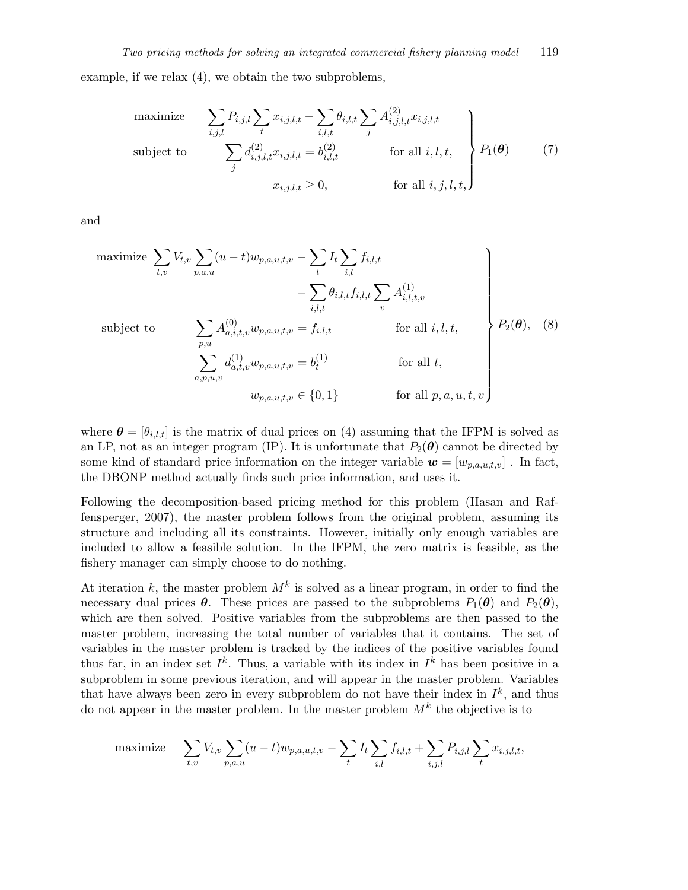example, if we relax (4), we obtain the two subproblems,

maximize 
$$
\sum_{i,j,l} P_{i,j,l} \sum_{t} x_{i,j,l,t} - \sum_{i,l,t} \theta_{i,l,t} \sum_{j} A_{i,j,l,t}^{(2)} x_{i,j,l,t}
$$
  
subject to 
$$
\sum_{j} d_{i,j,l,t}^{(2)} x_{i,j,l,t} = b_{i,l,t}^{(2)} \quad \text{for all } i, l, t,
$$

$$
x_{i,j,l,t} \geq 0, \quad \text{for all } i, j, l, t,
$$
 (7)

and

maximize 
$$
\sum_{t,v} V_{t,v} \sum_{p,a,u} (u-t) w_{p,a,u,t,v} - \sum_t I_t \sum_{i,l} f_{i,l,t}
$$
  
\n
$$
- \sum_{i,l,t} \theta_{i,l,t} f_{i,l,t} \sum_v A_{i,l,t,v}^{(1)}
$$
\nsubject to  
\n $\sum_{p,u} A_{a,i,t,v}^{(0)} w_{p,a,u,t,v} = f_{i,l,t}$  for all  $i, l, t$ ,  
\n $\sum_{a,p,u,v} d_{a,t,v}^{(1)} w_{p,a,u,t,v} = b_t^{(1)}$  for all  $t$ ,  
\n $w_{p,a,u,t,v} \in \{0, 1\}$  for all  $p, a, u, t, v$ 

where  $\theta = [\theta_{i,l,t}]$  is the matrix of dual prices on (4) assuming that the IFPM is solved as an LP, not as an integer program (IP). It is unfortunate that  $P_2(\theta)$  cannot be directed by some kind of standard price information on the integer variable  $\mathbf{w} = [w_{p,a,u,t,v}]$ . In fact, the DBONP method actually finds such price information, and uses it.

Following the decomposition-based pricing method for this problem (Hasan and Raffensperger, 2007), the master problem follows from the original problem, assuming its structure and including all its constraints. However, initially only enough variables are included to allow a feasible solution. In the IFPM, the zero matrix is feasible, as the fishery manager can simply choose to do nothing.

At iteration k, the master problem  $M^k$  is solved as a linear program, in order to find the necessary dual prices  $\theta$ . These prices are passed to the subproblems  $P_1(\theta)$  and  $P_2(\theta)$ , which are then solved. Positive variables from the subproblems are then passed to the master problem, increasing the total number of variables that it contains. The set of variables in the master problem is tracked by the indices of the positive variables found thus far, in an index set  $I^k$ . Thus, a variable with its index in  $I^k$  has been positive in a subproblem in some previous iteration, and will appear in the master problem. Variables that have always been zero in every subproblem do not have their index in  $I^k$ , and thus do not appear in the master problem. In the master problem  $M^k$  the objective is to

maximize 
$$
\sum_{t,v} V_{t,v} \sum_{p,a,u} (u-t) w_{p,a,u,t,v} - \sum_t I_t \sum_{i,l} f_{i,l,t} + \sum_{i,j,l} P_{i,j,l} \sum_t x_{i,j,l,t},
$$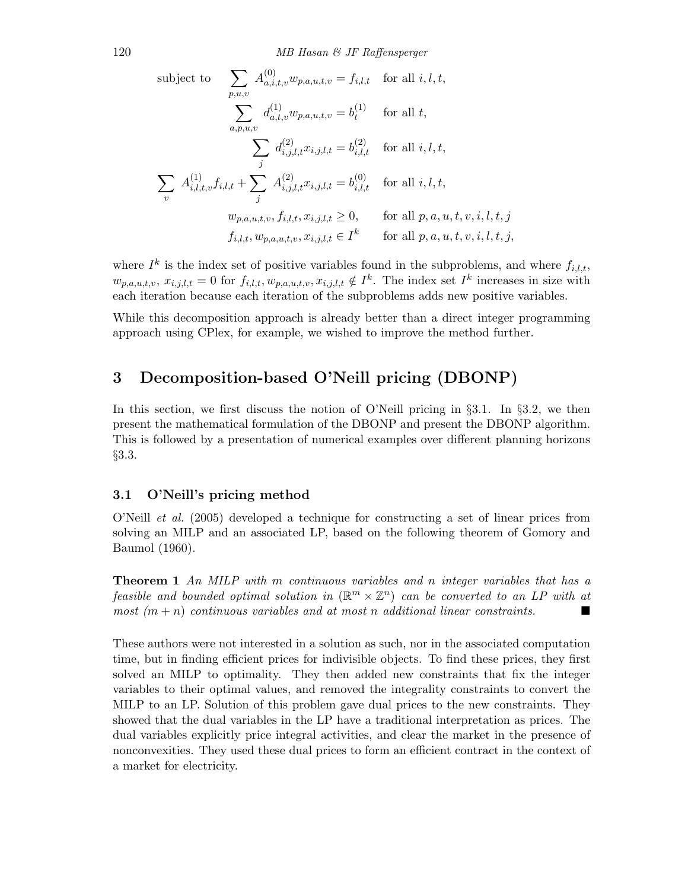120 MB Hasan & JF Raffensperger

subject to 
$$
\sum_{p,u,v} A_{a,i,t,v}^{(0)} w_{p,a,u,t,v} = f_{i,l,t} \quad \text{for all } i, l, t,
$$

$$
\sum_{a,p,u,v} d_{a,t,v}^{(1)} w_{p,a,u,t,v} = b_t^{(1)} \quad \text{for all } t,
$$

$$
\sum_{j} d_{i,j,l,t}^{(2)} x_{i,j,l,t} = b_{i,l,t}^{(2)} \quad \text{for all } i, l, t,
$$

$$
\sum_{v} A_{i,l,t,v}^{(1)} f_{i,l,t} + \sum_{j} A_{i,j,l,t}^{(2)} x_{i,j,l,t} = b_{i,l,t}^{(0)} \quad \text{for all } i, l, t,
$$

$$
w_{p,a,u,t,v}, f_{i,l,t}, x_{i,j,l,t} \ge 0, \qquad \text{for all } p, a, u, t, v, i, l, t, j,
$$

$$
f_{i,l,t}, w_{p,a,u,t,v}, x_{i,j,l,t} \in I^k \quad \text{for all } p, a, u, t, v, i, l, t, j,
$$

where  $I^k$  is the index set of positive variables found in the subproblems, and where  $f_{i,l,t}$ ,  $w_{p,a,u,t,v}, x_{i,j,l,t} = 0$  for  $f_{i,l,t}, w_{p,a,u,t,v}, x_{i,j,l,t} \notin I^k$ . The index set  $I^k$  increases in size with each iteration because each iteration of the subproblems adds new positive variables.

While this decomposition approach is already better than a direct integer programming approach using CPlex, for example, we wished to improve the method further.

## 3 Decomposition-based O'Neill pricing (DBONP)

In this section, we first discuss the notion of O'Neill pricing in  $\S 3.1$ . In  $\S 3.2$ , we then present the mathematical formulation of the DBONP and present the DBONP algorithm. This is followed by a presentation of numerical examples over different planning horizons §3.3.

#### 3.1 O'Neill's pricing method

O'Neill et al. (2005) developed a technique for constructing a set of linear prices from solving an MILP and an associated LP, based on the following theorem of Gomory and Baumol (1960).

Theorem 1 An MILP with m continuous variables and n integer variables that has a feasible and bounded optimal solution in  $(\mathbb{R}^m \times \mathbb{Z}^n)$  can be converted to an LP with at most  $(m+n)$  continuous variables and at most n additional linear constraints.

These authors were not interested in a solution as such, nor in the associated computation time, but in finding efficient prices for indivisible objects. To find these prices, they first solved an MILP to optimality. They then added new constraints that fix the integer variables to their optimal values, and removed the integrality constraints to convert the MILP to an LP. Solution of this problem gave dual prices to the new constraints. They showed that the dual variables in the LP have a traditional interpretation as prices. The dual variables explicitly price integral activities, and clear the market in the presence of nonconvexities. They used these dual prices to form an efficient contract in the context of a market for electricity.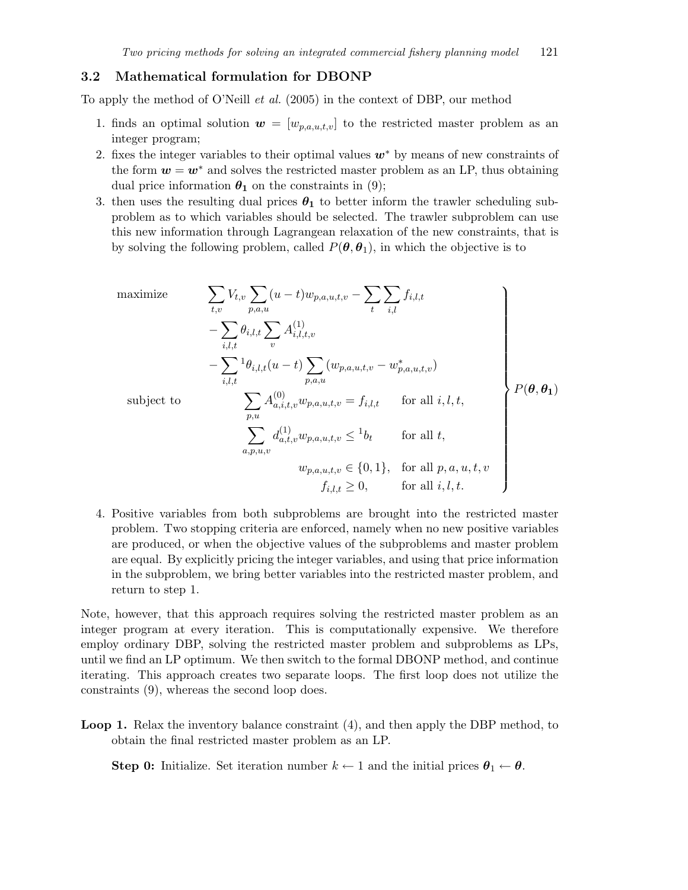#### 3.2 Mathematical formulation for DBONP

To apply the method of O'Neill et al. (2005) in the context of DBP, our method

- 1. finds an optimal solution  $\mathbf{w} = [w_{p,a,u,t,v}]$  to the restricted master problem as an integer program;
- 2. fixes the integer variables to their optimal values  $w^*$  by means of new constraints of the form  $w = w^*$  and solves the restricted master problem as an LP, thus obtaining dual price information  $\theta_1$  on the constraints in (9);
- 3. then uses the resulting dual prices  $\theta_1$  to better inform the trawler scheduling subproblem as to which variables should be selected. The trawler subproblem can use this new information through Lagrangean relaxation of the new constraints, that is by solving the following problem, called  $P(\theta, \theta_1)$ , in which the objective is to

maximize  
\n
$$
\sum_{t,v} V_{t,v} \sum_{p,a,u} (u-t) w_{p,a,u,t,v} - \sum_{t} \sum_{i,l} f_{i,l,t}
$$
\n
$$
- \sum_{i,l,t} \theta_{i,l,t} \sum_{v} A_{i,l,t,v}^{(1)}
$$
\n
$$
- \sum_{i,l,t} {}^{1} \theta_{i,l,t} (u-t) \sum_{p,a,u} (w_{p,a,u,t,v} - w_{p,a,u,t,v}^{*})
$$
\nsubject to  
\n
$$
\sum_{p,u} A_{a,i,t,v}^{(0)} w_{p,a,u,t,v} = f_{i,l,t} \quad \text{for all } i,l,t,
$$
\n
$$
\sum_{a,p,u,v} d_{a,t,v}^{(1)} w_{p,a,u,t,v} \leq {}^{1}b_{t} \quad \text{for all } t,
$$
\n
$$
w_{p,a,u,t,v} \in \{0,1\}, \text{ for all } p,a,u,t,v
$$
\n
$$
f_{i,l,t} \geq 0, \quad \text{for all } i,l,t.
$$

4. Positive variables from both subproblems are brought into the restricted master problem. Two stopping criteria are enforced, namely when no new positive variables are produced, or when the objective values of the subproblems and master problem are equal. By explicitly pricing the integer variables, and using that price information in the subproblem, we bring better variables into the restricted master problem, and return to step 1.

Note, however, that this approach requires solving the restricted master problem as an integer program at every iteration. This is computationally expensive. We therefore employ ordinary DBP, solving the restricted master problem and subproblems as LPs, until we find an LP optimum. We then switch to the formal DBONP method, and continue iterating. This approach creates two separate loops. The first loop does not utilize the constraints (9), whereas the second loop does.

Loop 1. Relax the inventory balance constraint (4), and then apply the DBP method, to obtain the final restricted master problem as an LP.

**Step 0:** Initialize. Set iteration number  $k \leftarrow 1$  and the initial prices  $\theta_1 \leftarrow \theta$ .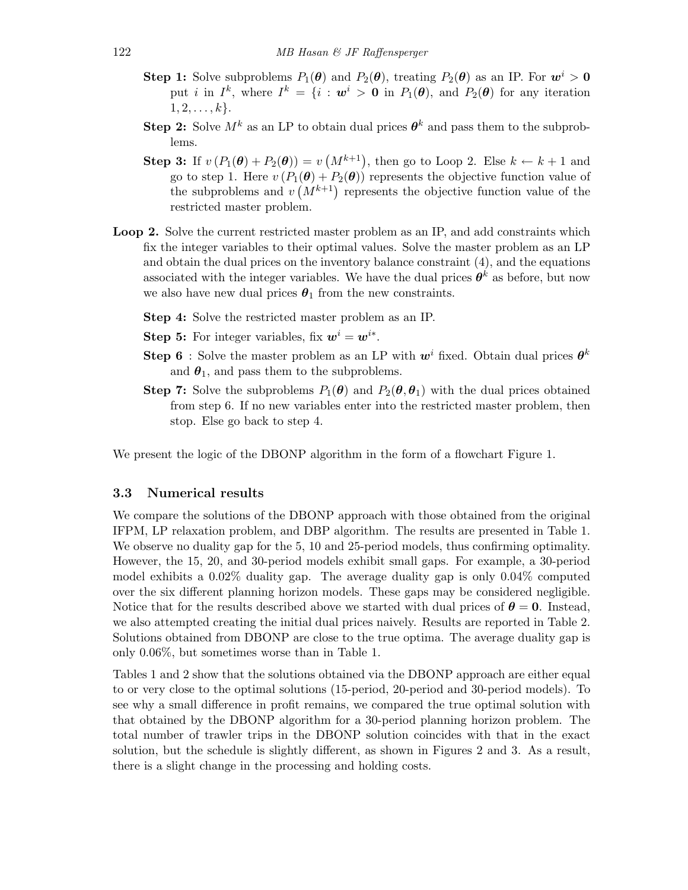- **Step 1:** Solve subproblems  $P_1(\theta)$  and  $P_2(\theta)$ , treating  $P_2(\theta)$  as an IP. For  $w^i > 0$ put *i* in  $I^k$ , where  $I^k = \{i : \boldsymbol{w}^i > \boldsymbol{0} \text{ in } P_1(\boldsymbol{\theta}), \text{ and } P_2(\boldsymbol{\theta}) \text{ for any iteration }$  $1, 2, \ldots, k$ .
- **Step 2:** Solve  $M^k$  as an LP to obtain dual prices  $\boldsymbol{\theta}^k$  and pass them to the subproblems.
- **Step 3:** If  $v(P_1(\theta) + P_2(\theta)) = v(M^{k+1})$ , then go to Loop 2. Else  $k \leftarrow k+1$  and go to step 1. Here  $v(P_1(\theta) + P_2(\theta))$  represents the objective function value of the subproblems and  $v(M^{k+1})$  represents the objective function value of the restricted master problem.
- Loop 2. Solve the current restricted master problem as an IP, and add constraints which fix the integer variables to their optimal values. Solve the master problem as an LP and obtain the dual prices on the inventory balance constraint (4), and the equations associated with the integer variables. We have the dual prices  $\boldsymbol{\theta}^k$  as before, but now we also have new dual prices  $\theta_1$  from the new constraints.
	- Step 4: Solve the restricted master problem as an IP.
	- **Step 5:** For integer variables, fix  $w^i = w^{i*}$ .
	- **Step 6** : Solve the master problem as an LP with  $w^i$  fixed. Obtain dual prices  $\theta^k$ and  $\theta_1$ , and pass them to the subproblems.
	- **Step 7:** Solve the subproblems  $P_1(\theta)$  and  $P_2(\theta, \theta_1)$  with the dual prices obtained from step 6. If no new variables enter into the restricted master problem, then stop. Else go back to step 4.

We present the logic of the DBONP algorithm in the form of a flowchart Figure 1.

#### 3.3 Numerical results

We compare the solutions of the DBONP approach with those obtained from the original IFPM, LP relaxation problem, and DBP algorithm. The results are presented in Table 1. We observe no duality gap for the 5, 10 and 25-period models, thus confirming optimality. However, the 15, 20, and 30-period models exhibit small gaps. For example, a 30-period model exhibits a 0.02% duality gap. The average duality gap is only 0.04% computed over the six different planning horizon models. These gaps may be considered negligible. Notice that for the results described above we started with dual prices of  $\theta = 0$ . Instead, we also attempted creating the initial dual prices naively. Results are reported in Table 2. Solutions obtained from DBONP are close to the true optima. The average duality gap is only 0.06%, but sometimes worse than in Table 1.

Tables 1 and 2 show that the solutions obtained via the DBONP approach are either equal to or very close to the optimal solutions (15-period, 20-period and 30-period models). To see why a small difference in profit remains, we compared the true optimal solution with that obtained by the DBONP algorithm for a 30-period planning horizon problem. The total number of trawler trips in the DBONP solution coincides with that in the exact solution, but the schedule is slightly different, as shown in Figures 2 and 3. As a result, there is a slight change in the processing and holding costs.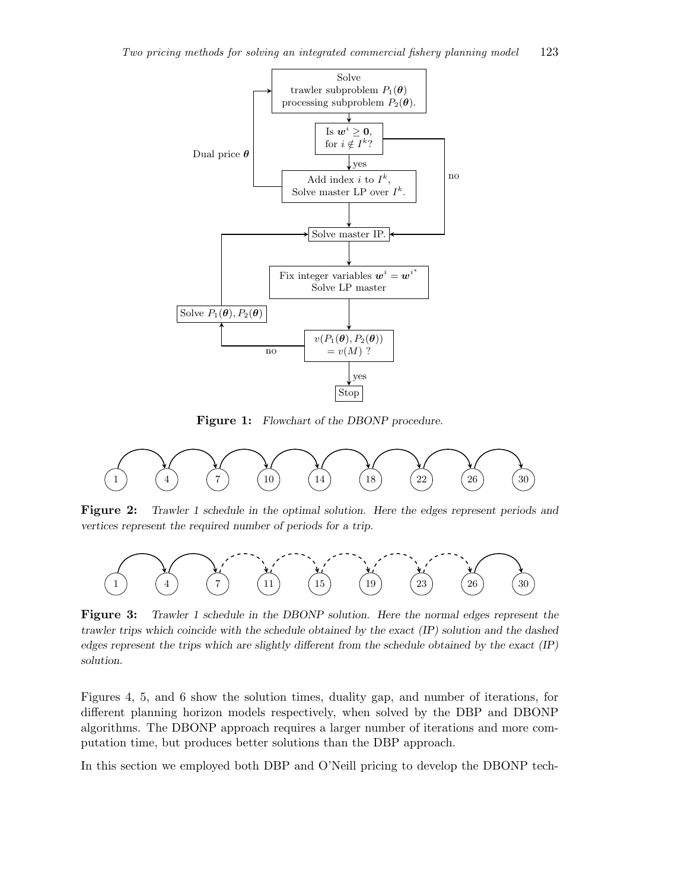

Figure 1: Flowchart of the DBONP procedure.



Figure 2: Trawler 1 schedule in the optimal solution. Here the edges represent periods and vertices represent the required number of periods for a trip.



Figure 3: Trawler 1 schedule in the DBONP solution. Here the normal edges represent the trawler trips which coincide with the schedule obtained by the exact (IP) solution and the dashed edges represent the trips which are slightly different from the schedule obtained by the exact (IP) solution.

Figures 4, 5, and 6 show the solution times, duality gap, and number of iterations, for different planning horizon models respectively, when solved by the DBP and DBONP algorithms. The DBONP approach requires a larger number of iterations and more computation time, but produces better solutions than the DBP approach.

In this section we employed both DBP and O'Neill pricing to develop the DBONP tech-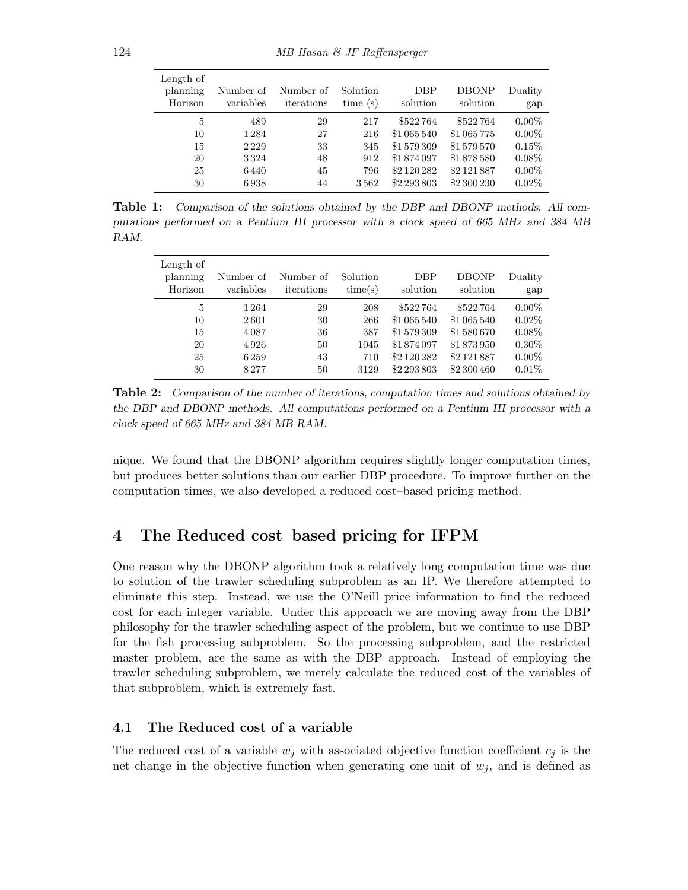| Length of<br>planning<br>Horizon | Number of<br>variables | Number of<br>iterations | Solution<br>time(s) | DBP<br>solution | <b>DBONP</b><br>solution | Duality<br>gap |
|----------------------------------|------------------------|-------------------------|---------------------|-----------------|--------------------------|----------------|
|                                  |                        |                         |                     |                 |                          |                |
| 5                                | 489                    | 29                      | 217                 | \$522764        | \$522764                 | $0.00\%$       |
| 10                               | 1284                   | 27                      | 216                 | \$1 065 540     | \$1065775                | $0.00\%$       |
| 15                               | 2229                   | 33                      | 345                 | \$1579309       | \$1579570                | 0.15%          |
| 20                               | 3324                   | 48                      | 912                 | \$1874097       | \$1878580                | $0.08\%$       |
| 25                               | 6440                   | 45                      | 796                 | \$2 120 282     | \$2 121 887              | $0.00\%$       |
| 30                               | 6938                   | 44                      | 3562                | \$2 293 803     | \$2 300 230              | $0.02\%$       |

Table 1: Comparison of the solutions obtained by the DBP and DBONP methods. All computations performed on a Pentium III processor with a clock speed of 665 MHz and 384 MB RAM.

| Length of<br>planning<br>Horizon | Number of<br>variables                  | Number of<br>iterations    | Solution<br>time(s)              | <b>DBP</b><br>solution                                           | <b>DBONP</b><br>solution                                         | Duality<br>gap                                           |
|----------------------------------|-----------------------------------------|----------------------------|----------------------------------|------------------------------------------------------------------|------------------------------------------------------------------|----------------------------------------------------------|
| 5<br>10<br>15<br>20<br>25        | 1 2 6 4<br>2601<br>4087<br>4926<br>6259 | 29<br>30<br>36<br>50<br>43 | 208<br>266<br>387<br>1045<br>710 | \$522764<br>\$1 065 540<br>\$1579309<br>\$1874097<br>\$2 120 282 | \$522764<br>\$1 065 540<br>\$1580670<br>\$1873950<br>\$2 121 887 | $0.00\%$<br>$0.02\%$<br>$0.08\%$<br>$0.30\%$<br>$0.00\%$ |
| 30                               | 8277                                    | 50                         | 3129                             | \$2 293 803                                                      | \$2 300 460                                                      | 0.01%                                                    |

Table 2: Comparison of the number of iterations, computation times and solutions obtained by the DBP and DBONP methods. All computations performed on a Pentium III processor with a clock speed of 665 MHz and 384 MB RAM.

nique. We found that the DBONP algorithm requires slightly longer computation times, but produces better solutions than our earlier DBP procedure. To improve further on the computation times, we also developed a reduced cost–based pricing method.

## 4 The Reduced cost–based pricing for IFPM

One reason why the DBONP algorithm took a relatively long computation time was due to solution of the trawler scheduling subproblem as an IP. We therefore attempted to eliminate this step. Instead, we use the O'Neill price information to find the reduced cost for each integer variable. Under this approach we are moving away from the DBP philosophy for the trawler scheduling aspect of the problem, but we continue to use DBP for the fish processing subproblem. So the processing subproblem, and the restricted master problem, are the same as with the DBP approach. Instead of employing the trawler scheduling subproblem, we merely calculate the reduced cost of the variables of that subproblem, which is extremely fast.

#### 4.1 The Reduced cost of a variable

The reduced cost of a variable  $w_j$  with associated objective function coefficient  $c_j$  is the net change in the objective function when generating one unit of  $w_j$ , and is defined as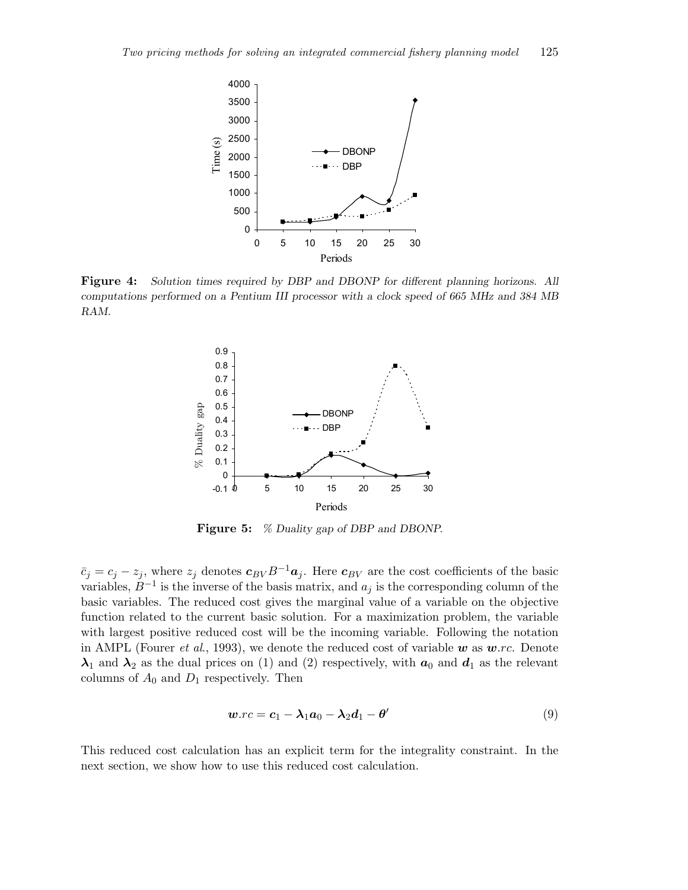

Figure 4: Solution times required by DBP and DBONP for different planning horizons. All computations performed on a Pentium III processor with a clock speed of 665 MHz and 384 MB RAM.



**Figure 5:** % Duality gap of DBP and DBONP.

 $\lambda_1$  and  $\lambda_2$  as the dual prices on (1) and (2) respectively, with  $a_0$  and  $d_1$  as the relevant in AMPL (Fourer *et al.*, 1993), we denote the reduced cost of variable w as  $w$ .rc. Denote  $\lambda_1$  and  $\lambda_2$  as the dual prices on (1) and (2) respectively, with  $a_0$  and  $d_1$  as the relevant columns of  $A_2$  and  $D_1$ function related to the current basic solution. For a maximization problem, the variable variables,  $B^{-1}$  is the inverse of the basis matrix, and  $a_j$  is the corresponding column of the  $\bar{c}_j = c_j - z_j$ , where  $z_j$  denotes  $c_{BV} B^{-1} a_j$ . Here  $c_{BV}$  are the cost coefficients of the basic basic variables. The reduced cost gives the marginal value of a variable on the objective with largest positive reduced cost will be the incoming variable. Following the notation columns of  $A_0$  and  $D_1$  respectively. Then

$$
\boldsymbol{w}.\boldsymbol{rc} = \boldsymbol{c}_1 - \boldsymbol{\lambda}_1 \boldsymbol{a}_0 - \boldsymbol{\lambda}_2 \boldsymbol{d}_1 - \boldsymbol{\theta}' \tag{9}
$$

This reduced cost calculation has an explicit term for the integrality constraint. In the next section, we show how to use this reduced cost calculation.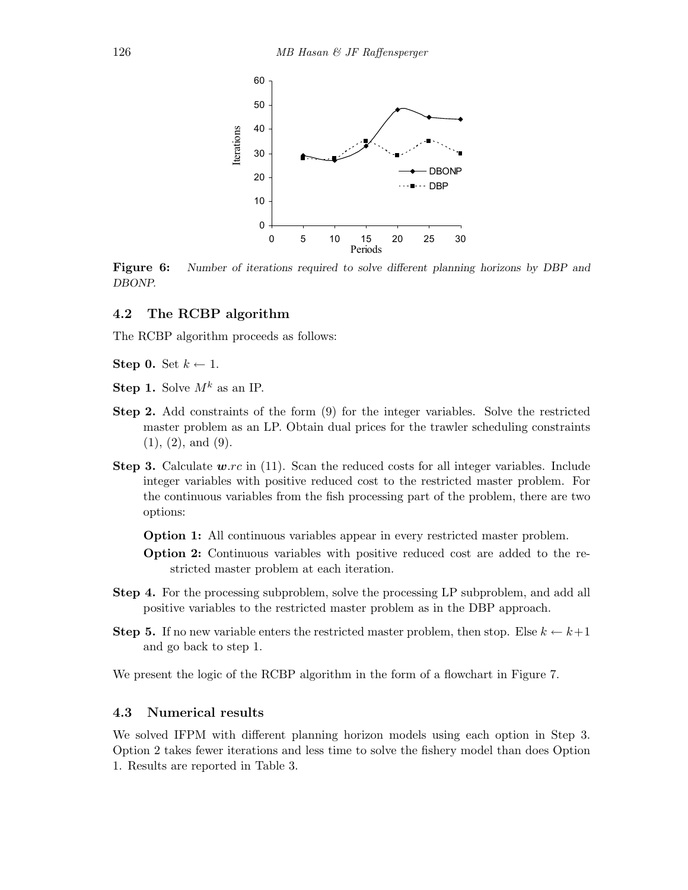

Figure 6: Number of iterations required to solve different planning horizons by DBP and  $R_{\text{D}}$ DBONP.

#### 4.2 The RCBP algorithm

The RCBP algorithm proceeds as follows:

Step 0. Set  $k \leftarrow 1$ .

- Step 1. Solve  $M^k$  as an IP.
- Step 2. Add constraints of the form (9) for the integer variables. Solve the restricted master problem as an LP. Obtain dual prices for the trawler scheduling constraints  $(1), (2),$  and  $(9).$
- **Step 3.** Calculate  $w$ .rc in (11). Scan the reduced costs for all integer variables. Include integer variables with positive reduced cost to the restricted master problem. For the continuous variables from the fish processing part of the problem, there are two options:
	- Option 1: All continuous variables appear in every restricted master problem.
	- Option 2: Continuous variables with positive reduced cost are added to the restricted master problem at each iteration.
- Step 4. For the processing subproblem, solve the processing LP subproblem, and add all positive variables to the restricted master problem as in the DBP approach.
- **Step 5.** If no new variable enters the restricted master problem, then stop. Else  $k \leftarrow k+1$ and go back to step 1.

We present the logic of the RCBP algorithm in the form of a flowchart in Figure 7.

#### 4.3 Numerical results

We solved IFPM with different planning horizon models using each option in Step 3. Option 2 takes fewer iterations and less time to solve the fishery model than does Option 1. Results are reported in Table 3.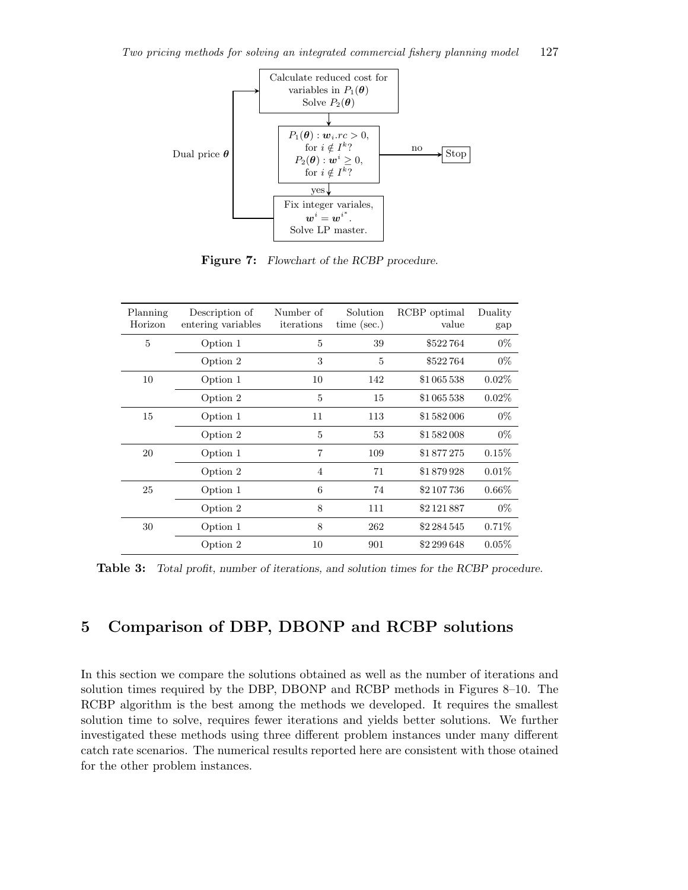

Figure 7: Flowchart of the RCBP procedure.

| Planning<br>Horizon | Description of<br>entering variables | Number of<br>iterations | Solution<br>time $(\sec.)$ | RCBP optimal<br>value | Duality<br>gap |
|---------------------|--------------------------------------|-------------------------|----------------------------|-----------------------|----------------|
| 5                   | Option 1                             | 5                       | 39                         | \$522764              | $0\%$          |
|                     | Option 2                             | 3                       | 5                          | \$522764              | $0\%$          |
| 10                  | Option 1                             | 10                      | 142                        | \$1 065 538           | $0.02\%$       |
|                     | Option 2                             | 5                       | 15                         | \$1 065 538           | $0.02\%$       |
| 15                  | Option 1                             | 11                      | 113                        | \$1582006             | $0\%$          |
|                     | Option 2                             | 5                       | 53                         | \$1582008             | $0\%$          |
| 20                  | Option 1                             | $\overline{7}$          | 109                        | \$1877275             | 0.15%          |
|                     | Option 2                             | $\overline{4}$          | 71                         | \$1879928             | $0.01\%$       |
| 25                  | Option 1                             | 6                       | 74                         | \$2 107 736           | $0.66\%$       |
|                     | Option 2                             | 8                       | 111                        | \$2 121 887           | $0\%$          |
| 30                  | Option 1                             | 8                       | 262                        | \$2 284 545           | $0.71\%$       |
|                     | Option 2                             | 10                      | 901                        | \$2 299 648           | $0.05\%$       |

Table 3: Total profit, number of iterations, and solution times for the RCBP procedure.

## 5 Comparison of DBP, DBONP and RCBP solutions

In this section we compare the solutions obtained as well as the number of iterations and solution times required by the DBP, DBONP and RCBP methods in Figures 8–10. The RCBP algorithm is the best among the methods we developed. It requires the smallest solution time to solve, requires fewer iterations and yields better solutions. We further investigated these methods using three different problem instances under many different catch rate scenarios. The numerical results reported here are consistent with those otained for the other problem instances.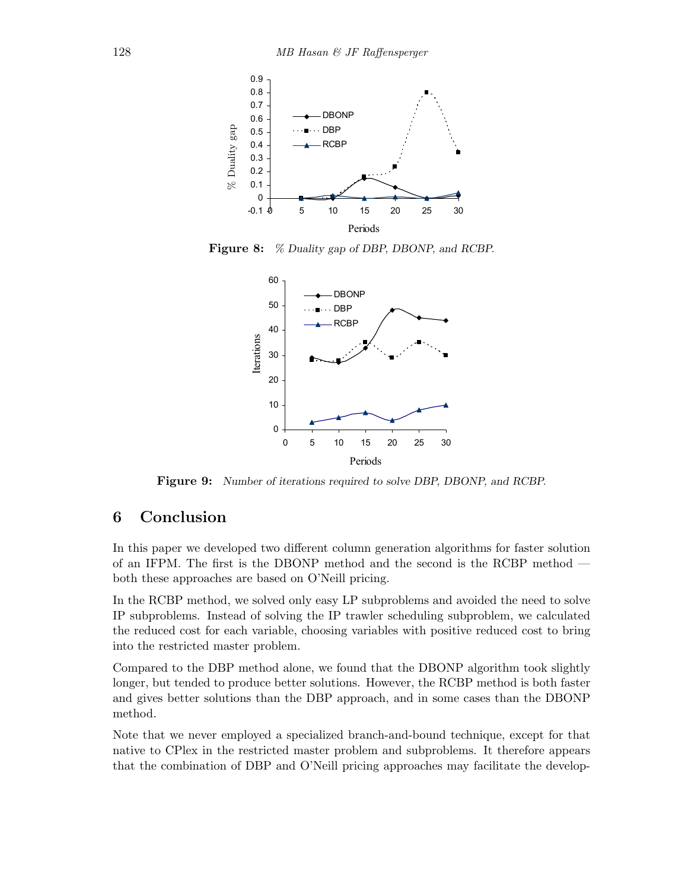

Figure 8: % Duality gap of DBP, DBONP, and RCBP.



Figure 9: Number of iterations required to solve DBP, DBONP, and RCBP.

## 6 Conclusion

In this paper we developed two different column generation algorithms for faster solution of an IFPM. The first is the DBONP method and the second is the RCBP method both these approaches are based on O'Neill pricing.

In the RCBP method, we solved only easy LP subproblems and avoided the need to solve IP subproblems. Instead of solving the IP trawler scheduling subproblem, we calculated the reduced cost for each variable, choosing variables with positive reduced cost to bring into the restricted master problem.

Compared to the DBP method alone, we found that the DBONP algorithm took slightly longer, but tended to produce better solutions. However, the RCBP method is both faster and gives better solutions than the DBP approach, and in some cases than the DBONP method.

Note that we never employed a specialized branch-and-bound technique, except for that native to CPlex in the restricted master problem and subproblems. It therefore appears that the combination of DBP and O'Neill pricing approaches may facilitate the develop-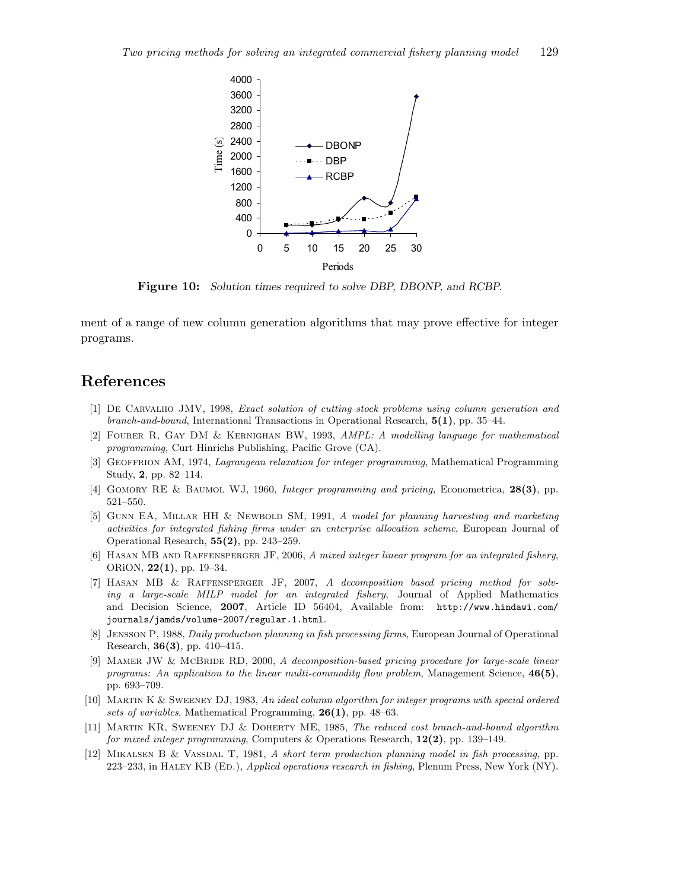

**Figure 10:** Solution times required to solve DBP, DBONP, and RCBP.

ment of a range of new column generation algorithms that may prove effective for integer programs.

#### $\sum_{i=1}^{n}$  have given the published year is the issue numbers as follows: the issue number. References

- [1] DE CARVALHO JMV, 1998, Exact solution of cutting stock problems using column generation and DE CARVALITO STATY, 1990, Exact solution by culting stock problems asing column generational Research,  $5(1)$ , pp. 35–44.
- [2] FOURER R, GAY DM & KERNIGHAN BW, 1993, AMPL: A modelling language for mathematical programming, Curt Hinrichs Publishing, Pacific Grove (CA).
- [3] GEOFFRION AM, 1974, Lagrangean relaxation for integer programming, Mathematical Programming Study, 2, pp. 82–114.
- [4] GOMORY RE & BAUMOL WJ, 1960, Integer programming and pricing, Econometrica, 28(3), pp.  $0.500$ ,  $0.500$ ,  $0.500$ ,  $0.500$ ,  $0.500$ ,  $0.500$ ,  $0.500$ ,  $0.500$ ,  $0.500$ ,  $0.500$ ,  $0.500$ ,  $0.500$ ,  $0.500$ ,  $0.500$ ,  $0.500$ ,  $0.500$ ,  $0.500$ ,  $0.500$ ,  $0.500$ ,  $0.500$ ,  $0.500$ ,  $0.500$ ,  $0.500$ ,  $0.500$ ,  $0.50$ 521–550.
- [5] GUNN EA, MILLAR HH & NEWBOLD SM, 1991, A model for planning harvesting and marketing activities for integrated fishing firms under an enterprise allocation scheme, European Journal of Operational Research, 55(2), pp. 243–259.
- $\langle \text{M} \text{D} \rangle$  and  $\hat{\text{D}}$  are  $\eta$  represented in  $\Omega$  and  $\eta$  and  $\eta$  in the mean published in the mean published in the mean  $\eta$ [6] HASAN MB AND RAFFENSPERGER JF, 2006, A mixed integer linear program for an integrated fishery, ORiON, 22(1), pp. 19–34.
- [7] HASAN MB & RAFFENSPERGER JF, 2007, A decomposition based pricing method for solving a large-scale MILP model for an integrated fishery, Journal of Applied Mathematics and Decision Science, 2007, Article ID 56404, Available from: http://www.hindawi.com/ journals/jamds/volume-2007/regular.1.html.
- [8] JENSSON P, 1988, Daily production planning in fish processing firms, European Journal of Operational Research, 36(3), pp. 410–415.
- [9] MAMER JW & MCBRIDE RD, 2000, A decomposition-based pricing procedure for large-scale linear programs: An application to the linear multi-commodity flow problem, Management Science,  $46(5)$ , pp. 693–709.
- [10] Martin K & Sweeney DJ, 1983, An ideal column algorithm for integer programs with special ordered sets of variables, Mathematical Programming, 26(1), pp. 48–63.
- [11] Martin KR, Sweeney DJ & Doherty ME, 1985, The reduced cost branch-and-bound algorithm for mixed integer programming, Computers & Operations Research, 12(2), pp. 139–149.
- [12] MIKALSEN B & VASSDAL T, 1981, A short term production planning model in fish processing, pp. 223–233, in Haley KB (Ed.), Applied operations research in fishing, Plenum Press, New York (NY).